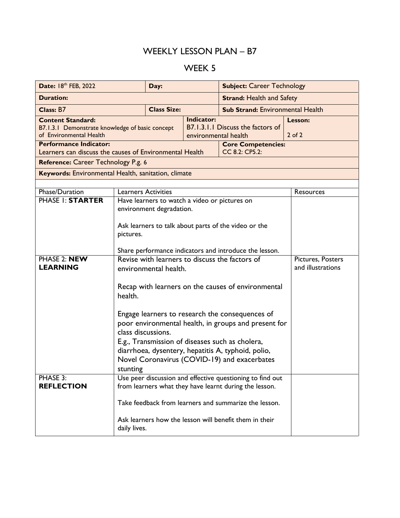## WEEKLY LESSON PLAN – B7

## WEEK 5

| Date: 18th FEB, 2022                                                                                   |                                                                                                                     | Day:                                           |                                  | <b>Subject: Career Technology</b>       |                       |  |  |  |
|--------------------------------------------------------------------------------------------------------|---------------------------------------------------------------------------------------------------------------------|------------------------------------------------|----------------------------------|-----------------------------------------|-----------------------|--|--|--|
| <b>Duration:</b>                                                                                       |                                                                                                                     |                                                | <b>Strand: Health and Safety</b> |                                         |                       |  |  |  |
| Class: B7                                                                                              |                                                                                                                     | <b>Class Size:</b>                             |                                  | <b>Sub Strand: Environmental Health</b> |                       |  |  |  |
| <b>Content Standard:</b><br>B7.1.3.1 Demonstrate knowledge of basic concept<br>of Environmental Health |                                                                                                                     | <b>Indicator:</b><br>environmental health      |                                  | B7.1.3.1.1 Discuss the factors of       | Lesson:<br>$2$ of $2$ |  |  |  |
| <b>Performance Indicator:</b><br>Learners can discuss the causes of Environmental Health               | <b>Core Competencies:</b><br>CC 8.2: CP5.2:                                                                         |                                                |                                  |                                         |                       |  |  |  |
| Reference: Career Technology P.g. 6                                                                    |                                                                                                                     |                                                |                                  |                                         |                       |  |  |  |
| Keywords: Environmental Health, sanitation, climate                                                    |                                                                                                                     |                                                |                                  |                                         |                       |  |  |  |
|                                                                                                        |                                                                                                                     |                                                |                                  |                                         |                       |  |  |  |
| Phase/Duration                                                                                         | <b>Learners Activities</b>                                                                                          |                                                | Resources                        |                                         |                       |  |  |  |
| <b>PHASE I: STARTER</b>                                                                                | Have learners to watch a video or pictures on                                                                       |                                                |                                  |                                         |                       |  |  |  |
|                                                                                                        | environment degradation.                                                                                            |                                                |                                  |                                         |                       |  |  |  |
|                                                                                                        |                                                                                                                     |                                                |                                  |                                         |                       |  |  |  |
|                                                                                                        | Ask learners to talk about parts of the video or the<br>pictures.                                                   |                                                |                                  |                                         |                       |  |  |  |
|                                                                                                        |                                                                                                                     |                                                |                                  |                                         |                       |  |  |  |
|                                                                                                        | Share performance indicators and introduce the lesson.                                                              |                                                |                                  |                                         |                       |  |  |  |
| PHASE 2: NEW                                                                                           |                                                                                                                     | Revise with learners to discuss the factors of | Pictures, Posters                |                                         |                       |  |  |  |
| <b>LEARNING</b>                                                                                        | and illustrations<br>environmental health.                                                                          |                                                |                                  |                                         |                       |  |  |  |
|                                                                                                        |                                                                                                                     |                                                |                                  |                                         |                       |  |  |  |
|                                                                                                        | Recap with learners on the causes of environmental<br>health.                                                       |                                                |                                  |                                         |                       |  |  |  |
|                                                                                                        |                                                                                                                     |                                                |                                  |                                         |                       |  |  |  |
|                                                                                                        | Engage learners to research the consequences of                                                                     |                                                |                                  |                                         |                       |  |  |  |
|                                                                                                        | poor environmental health, in groups and present for                                                                |                                                |                                  |                                         |                       |  |  |  |
|                                                                                                        | class discussions.                                                                                                  |                                                |                                  |                                         |                       |  |  |  |
|                                                                                                        | E.g., Transmission of diseases such as cholera,                                                                     |                                                |                                  |                                         |                       |  |  |  |
|                                                                                                        | diarrhoea, dysentery, hepatitis A, typhoid, polio,                                                                  |                                                |                                  |                                         |                       |  |  |  |
|                                                                                                        | Novel Coronavirus (COVID-19) and exacerbates                                                                        |                                                |                                  |                                         |                       |  |  |  |
|                                                                                                        | stunting                                                                                                            |                                                |                                  |                                         |                       |  |  |  |
| PHASE 3:<br><b>REFLECTION</b>                                                                          | Use peer discussion and effective questioning to find out<br>from learners what they have learnt during the lesson. |                                                |                                  |                                         |                       |  |  |  |
|                                                                                                        |                                                                                                                     |                                                |                                  |                                         |                       |  |  |  |
|                                                                                                        | Take feedback from learners and summarize the lesson.                                                               |                                                |                                  |                                         |                       |  |  |  |
|                                                                                                        | Ask learners how the lesson will benefit them in their<br>daily lives.                                              |                                                |                                  |                                         |                       |  |  |  |